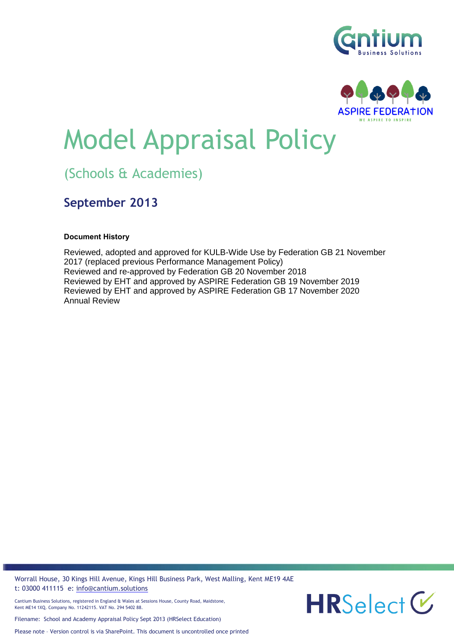



# Model Appraisal Policy

# (Schools & Academies)

## **September 2013**

#### **Document History**

Reviewed, adopted and approved for KULB-Wide Use by Federation GB 21 November 2017 (replaced previous Performance Management Policy) Reviewed and re-approved by Federation GB 20 November 2018 Reviewed by EHT and approved by ASPIRE Federation GB 19 November 2019 Reviewed by EHT and approved by ASPIRE Federation GB 17 November 2020 Annual Review

Worrall House, 30 Kings Hill Avenue, Kings Hill Business Park, West Malling, Kent ME19 4AE t: 03000 411115 e: [info@cantium.solutions](mailto:info@cantium.solutions)



Filename: School and Academy Appraisal Policy Sept 2013 (HRSelect Education)

Please note – Version control is via SharePoint. This document is uncontrolled once printed

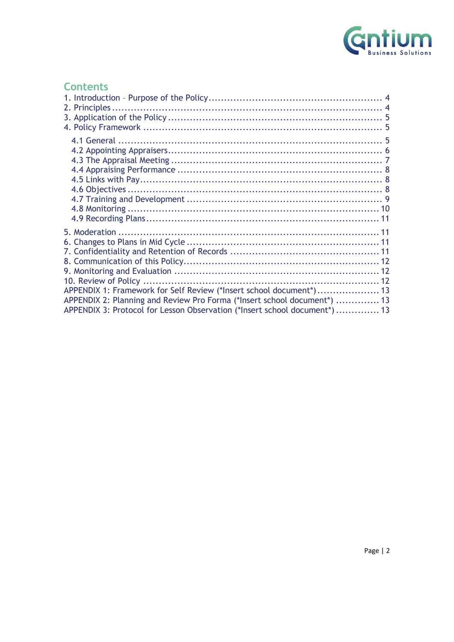

## **Contents**

| APPENDIX 1: Framework for Self Review (*Insert school document*) 13        |  |
|----------------------------------------------------------------------------|--|
| APPENDIX 2: Planning and Review Pro Forma (*Insert school document*)  13   |  |
| APPENDIX 3: Protocol for Lesson Observation (*Insert school document*)  13 |  |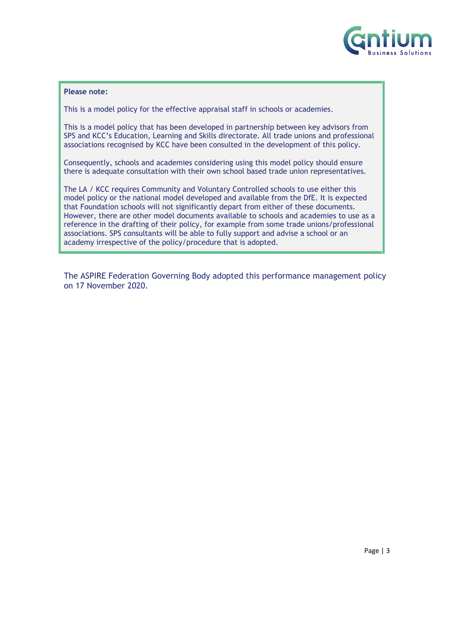

#### **Please note:**

This is a model policy for the effective appraisal staff in schools or academies.

This is a model policy that has been developed in partnership between key advisors from SPS and KCC's Education, Learning and Skills directorate. All trade unions and professional associations recognised by KCC have been consulted in the development of this policy.

Consequently, schools and academies considering using this model policy should ensure there is adequate consultation with their own school based trade union representatives.

The LA / KCC requires Community and Voluntary Controlled schools to use either this model policy or the national model developed and available from the DfE. It is expected that Foundation schools will not significantly depart from either of these documents. However, there are other model documents available to schools and academies to use as a reference in the drafting of their policy, for example from some trade unions/professional associations. SPS consultants will be able to fully support and advise a school or an academy irrespective of the policy/procedure that is adopted.

The ASPIRE Federation Governing Body adopted this performance management policy on 17 November 2020.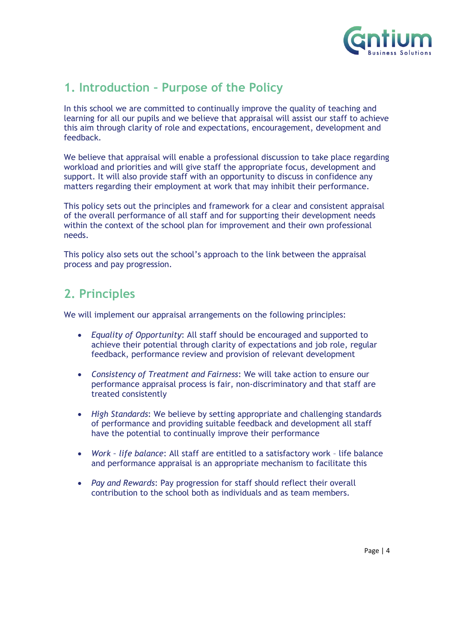

## <span id="page-3-0"></span>**1. Introduction – Purpose of the Policy**

In this school we are committed to continually improve the quality of teaching and learning for all our pupils and we believe that appraisal will assist our staff to achieve this aim through clarity of role and expectations, encouragement, development and feedback.

We believe that appraisal will enable a professional discussion to take place regarding workload and priorities and will give staff the appropriate focus, development and support. It will also provide staff with an opportunity to discuss in confidence any matters regarding their employment at work that may inhibit their performance.

This policy sets out the principles and framework for a clear and consistent appraisal of the overall performance of all staff and for supporting their development needs within the context of the school plan for improvement and their own professional needs.

This policy also sets out the school's approach to the link between the appraisal process and pay progression.

## <span id="page-3-1"></span>**2. Principles**

We will implement our appraisal arrangements on the following principles:

- *Equality of Opportunity*: All staff should be encouraged and supported to achieve their potential through clarity of expectations and job role, regular feedback, performance review and provision of relevant development
- *Consistency of Treatment and Fairness*: We will take action to ensure our performance appraisal process is fair, non-discriminatory and that staff are treated consistently
- *High Standards*: We believe by setting appropriate and challenging standards of performance and providing suitable feedback and development all staff have the potential to continually improve their performance
- *Work – life balance*: All staff are entitled to a satisfactory work life balance and performance appraisal is an appropriate mechanism to facilitate this
- *Pay and Rewards*: Pay progression for staff should reflect their overall contribution to the school both as individuals and as team members.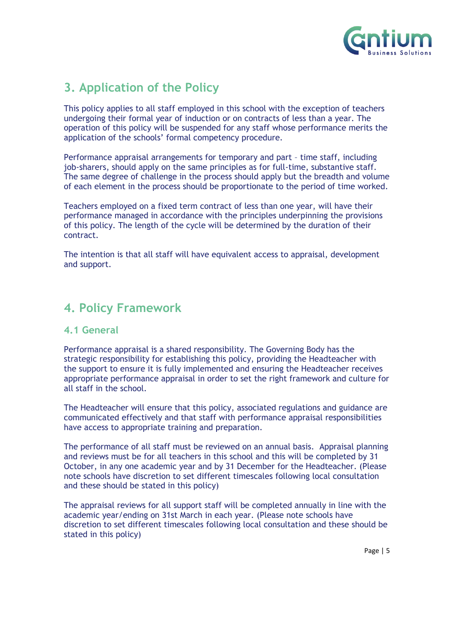

## <span id="page-4-0"></span>**3. Application of the Policy**

This policy applies to all staff employed in this school with the exception of teachers undergoing their formal year of induction or on contracts of less than a year. The operation of this policy will be suspended for any staff whose performance merits the application of the schools' formal competency procedure.

Performance appraisal arrangements for temporary and part – time staff, including job-sharers, should apply on the same principles as for full-time, substantive staff. The same degree of challenge in the process should apply but the breadth and volume of each element in the process should be proportionate to the period of time worked.

Teachers employed on a fixed term contract of less than one year, will have their performance managed in accordance with the principles underpinning the provisions of this policy. The length of the cycle will be determined by the duration of their contract.

The intention is that all staff will have equivalent access to appraisal, development and support.

## <span id="page-4-1"></span>**4. Policy Framework**

#### <span id="page-4-2"></span>**4.1 General**

Performance appraisal is a shared responsibility. The Governing Body has the strategic responsibility for establishing this policy, providing the Headteacher with the support to ensure it is fully implemented and ensuring the Headteacher receives appropriate performance appraisal in order to set the right framework and culture for all staff in the school.

The Headteacher will ensure that this policy, associated regulations and guidance are communicated effectively and that staff with performance appraisal responsibilities have access to appropriate training and preparation.

The performance of all staff must be reviewed on an annual basis. Appraisal planning and reviews must be for all teachers in this school and this will be completed by 31 October, in any one academic year and by 31 December for the Headteacher. (Please note schools have discretion to set different timescales following local consultation and these should be stated in this policy)

The appraisal reviews for all support staff will be completed annually in line with the academic year/ending on 31st March in each year. (Please note schools have discretion to set different timescales following local consultation and these should be stated in this policy)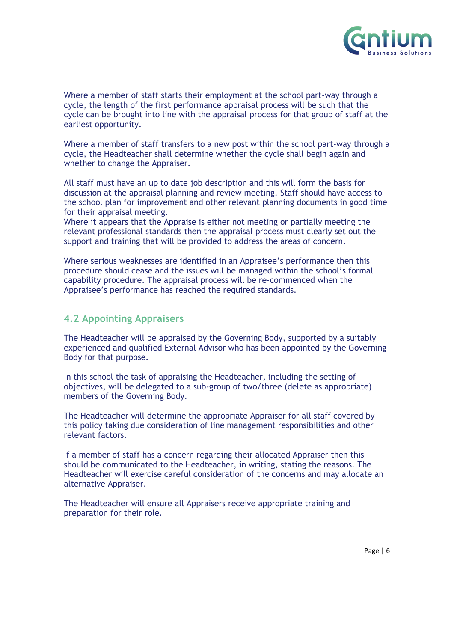

Where a member of staff starts their employment at the school part-way through a cycle, the length of the first performance appraisal process will be such that the cycle can be brought into line with the appraisal process for that group of staff at the earliest opportunity.

Where a member of staff transfers to a new post within the school part-way through a cycle, the Headteacher shall determine whether the cycle shall begin again and whether to change the Appraiser.

All staff must have an up to date job description and this will form the basis for discussion at the appraisal planning and review meeting. Staff should have access to the school plan for improvement and other relevant planning documents in good time for their appraisal meeting.

Where it appears that the Appraise is either not meeting or partially meeting the relevant professional standards then the appraisal process must clearly set out the support and training that will be provided to address the areas of concern.

Where serious weaknesses are identified in an Appraisee's performance then this procedure should cease and the issues will be managed within the school's formal capability procedure. The appraisal process will be re-commenced when the Appraisee's performance has reached the required standards.

## <span id="page-5-0"></span>**4.2 Appointing Appraisers**

The Headteacher will be appraised by the Governing Body, supported by a suitably experienced and qualified External Advisor who has been appointed by the Governing Body for that purpose.

In this school the task of appraising the Headteacher, including the setting of objectives, will be delegated to a sub-group of two/three (delete as appropriate) members of the Governing Body.

The Headteacher will determine the appropriate Appraiser for all staff covered by this policy taking due consideration of line management responsibilities and other relevant factors.

If a member of staff has a concern regarding their allocated Appraiser then this should be communicated to the Headteacher, in writing, stating the reasons. The Headteacher will exercise careful consideration of the concerns and may allocate an alternative Appraiser.

The Headteacher will ensure all Appraisers receive appropriate training and preparation for their role.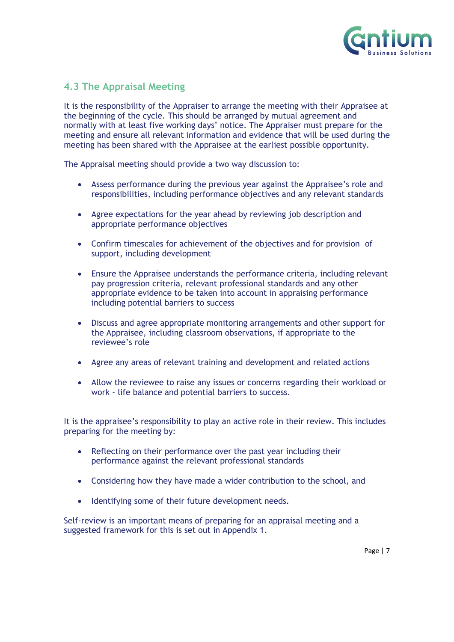

## <span id="page-6-0"></span>**4.3 The Appraisal Meeting**

It is the responsibility of the Appraiser to arrange the meeting with their Appraisee at the beginning of the cycle. This should be arranged by mutual agreement and normally with at least five working days' notice. The Appraiser must prepare for the meeting and ensure all relevant information and evidence that will be used during the meeting has been shared with the Appraisee at the earliest possible opportunity.

The Appraisal meeting should provide a two way discussion to:

- Assess performance during the previous year against the Appraisee's role and responsibilities, including performance objectives and any relevant standards
- Agree expectations for the year ahead by reviewing job description and appropriate performance objectives
- Confirm timescales for achievement of the objectives and for provision of support, including development
- Ensure the Appraisee understands the performance criteria, including relevant pay progression criteria, relevant professional standards and any other appropriate evidence to be taken into account in appraising performance including potential barriers to success
- Discuss and agree appropriate monitoring arrangements and other support for the Appraisee, including classroom observations, if appropriate to the reviewee's role
- Agree any areas of relevant training and development and related actions
- Allow the reviewee to raise any issues or concerns regarding their workload or work - life balance and potential barriers to success.

It is the appraisee's responsibility to play an active role in their review. This includes preparing for the meeting by:

- Reflecting on their performance over the past year including their performance against the relevant professional standards
- Considering how they have made a wider contribution to the school, and
- Identifying some of their future development needs.

Self-review is an important means of preparing for an appraisal meeting and a suggested framework for this is set out in Appendix 1.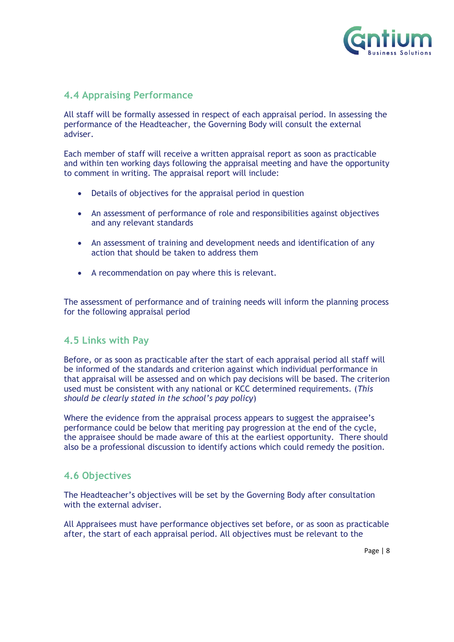

## <span id="page-7-0"></span>**4.4 Appraising Performance**

All staff will be formally assessed in respect of each appraisal period. In assessing the performance of the Headteacher, the Governing Body will consult the external adviser.

Each member of staff will receive a written appraisal report as soon as practicable and within ten working days following the appraisal meeting and have the opportunity to comment in writing. The appraisal report will include:

- Details of objectives for the appraisal period in question
- An assessment of performance of role and responsibilities against objectives and any relevant standards
- An assessment of training and development needs and identification of any action that should be taken to address them
- A recommendation on pay where this is relevant.

The assessment of performance and of training needs will inform the planning process for the following appraisal period

#### <span id="page-7-1"></span>**4.5 Links with Pay**

Before, or as soon as practicable after the start of each appraisal period all staff will be informed of the standards and criterion against which individual performance in that appraisal will be assessed and on which pay decisions will be based. The criterion used must be consistent with any national or KCC determined requirements. (*This should be clearly stated in the school's pay policy*)

Where the evidence from the appraisal process appears to suggest the appraisee's performance could be below that meriting pay progression at the end of the cycle, the appraisee should be made aware of this at the earliest opportunity. There should also be a professional discussion to identify actions which could remedy the position.

#### <span id="page-7-2"></span>**4.6 Objectives**

The Headteacher's objectives will be set by the Governing Body after consultation with the external adviser.

All Appraisees must have performance objectives set before, or as soon as practicable after, the start of each appraisal period. All objectives must be relevant to the

Page | 8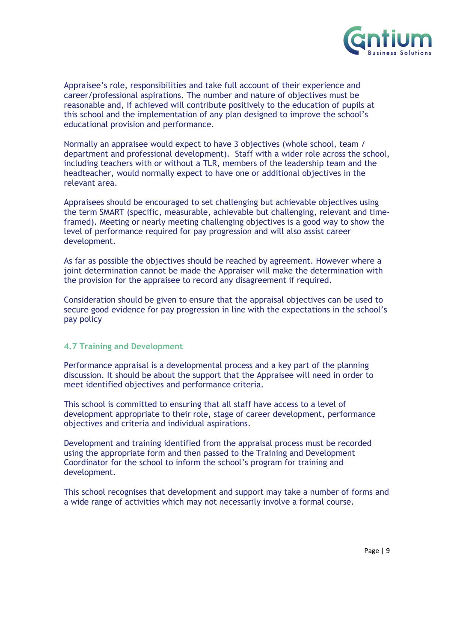

Appraisee's role, responsibilities and take full account of their experience and career/professional aspirations. The number and nature of objectives must be reasonable and, if achieved will contribute positively to the education of pupils at this school and the implementation of any plan designed to improve the school's educational provision and performance.

Normally an appraisee would expect to have 3 objectives (whole school, team / department and professional development). Staff with a wider role across the school, including teachers with or without a TLR, members of the leadership team and the headteacher, would normally expect to have one or additional objectives in the relevant area.

Appraisees should be encouraged to set challenging but achievable objectives using the term SMART (specific, measurable, achievable but challenging, relevant and timeframed). Meeting or nearly meeting challenging objectives is a good way to show the level of performance required for pay progression and will also assist career development.

As far as possible the objectives should be reached by agreement. However where a joint determination cannot be made the Appraiser will make the determination with the provision for the appraisee to record any disagreement if required.

Consideration should be given to ensure that the appraisal objectives can be used to secure good evidence for pay progression in line with the expectations in the school's pay policy

#### <span id="page-8-0"></span>**4.7 Training and Development**

Performance appraisal is a developmental process and a key part of the planning discussion. It should be about the support that the Appraisee will need in order to meet identified objectives and performance criteria.

This school is committed to ensuring that all staff have access to a level of development appropriate to their role, stage of career development, performance objectives and criteria and individual aspirations.

Development and training identified from the appraisal process must be recorded using the appropriate form and then passed to the Training and Development Coordinator for the school to inform the school's program for training and development.

This school recognises that development and support may take a number of forms and a wide range of activities which may not necessarily involve a formal course.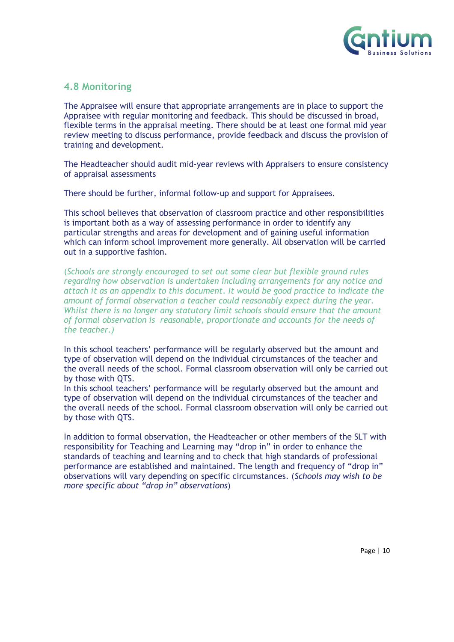

#### <span id="page-9-0"></span>**4.8 Monitoring**

The Appraisee will ensure that appropriate arrangements are in place to support the Appraisee with regular monitoring and feedback. This should be discussed in broad, flexible terms in the appraisal meeting. There should be at least one formal mid year review meeting to discuss performance, provide feedback and discuss the provision of training and development.

The Headteacher should audit mid-year reviews with Appraisers to ensure consistency of appraisal assessments

There should be further, informal follow-up and support for Appraisees.

This school believes that observation of classroom practice and other responsibilities is important both as a way of assessing performance in order to identify any particular strengths and areas for development and of gaining useful information which can inform school improvement more generally. All observation will be carried out in a supportive fashion.

(*Schools are strongly encouraged to set out some clear but flexible ground rules regarding how observation is undertaken including arrangements for any notice and attach it as an appendix to this document*. *It would be good practice to indicate the amount of formal observation a teacher could reasonably expect during the year. Whilst there is no longer any statutory limit schools should ensure that the amount of formal observation is reasonable, proportionate and accounts for the needs of the teacher.)*

In this school teachers' performance will be regularly observed but the amount and type of observation will depend on the individual circumstances of the teacher and the overall needs of the school. Formal classroom observation will only be carried out by those with QTS.

In this school teachers' performance will be regularly observed but the amount and type of observation will depend on the individual circumstances of the teacher and the overall needs of the school. Formal classroom observation will only be carried out by those with QTS.

In addition to formal observation, the Headteacher or other members of the SLT with responsibility for Teaching and Learning may "drop in" in order to enhance the standards of teaching and learning and to check that high standards of professional performance are established and maintained. The length and frequency of "drop in" observations will vary depending on specific circumstances. (*Schools may wish to be more specific about "drop in" observations*)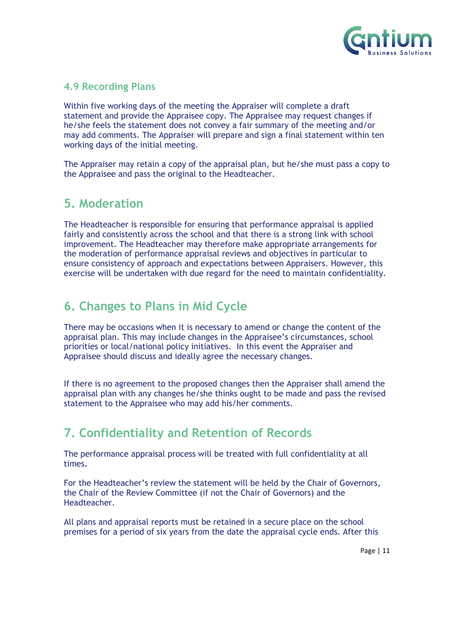

## <span id="page-10-0"></span>**4.9 Recording Plans**

Within five working days of the meeting the Appraiser will complete a draft statement and provide the Appraisee copy. The Appraisee may request changes if he/she feels the statement does not convey a fair summary of the meeting and/or may add comments. The Appraiser will prepare and sign a final statement within ten working days of the initial meeting.

The Appraiser may retain a copy of the appraisal plan, but he/she must pass a copy to the Appraisee and pass the original to the Headteacher.

## <span id="page-10-1"></span>**5. Moderation**

The Headteacher is responsible for ensuring that performance appraisal is applied fairly and consistently across the school and that there is a strong link with school improvement. The Headteacher may therefore make appropriate arrangements for the moderation of performance appraisal reviews and objectives in particular to ensure consistency of approach and expectations between Appraisers. However, this exercise will be undertaken with due regard for the need to maintain confidentiality.

## <span id="page-10-2"></span>**6. Changes to Plans in Mid Cycle**

There may be occasions when it is necessary to amend or change the content of the appraisal plan. This may include changes in the Appraisee's circumstances, school priorities or local/national policy initiatives. In this event the Appraiser and Appraisee should discuss and ideally agree the necessary changes.

If there is no agreement to the proposed changes then the Appraiser shall amend the appraisal plan with any changes he/she thinks ought to be made and pass the revised statement to the Appraisee who may add his/her comments.

## <span id="page-10-3"></span>**7. Confidentiality and Retention of Records**

The performance appraisal process will be treated with full confidentiality at all times**.** 

For the Headteacher's review the statement will be held by the Chair of Governors, the Chair of the Review Committee (if not the Chair of Governors) and the Headteacher.

All plans and appraisal reports must be retained in a secure place on the school premises for a period of six years from the date the appraisal cycle ends. After this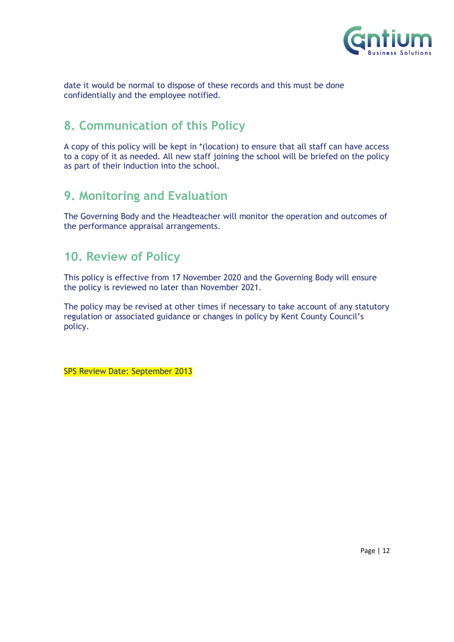

date it would be normal to dispose of these records and this must be done confidentially and the employee notified.

## <span id="page-11-0"></span>**8. Communication of this Policy**

A copy of this policy will be kept in \*(location) to ensure that all staff can have access to a copy of it as needed. All new staff joining the school will be briefed on the policy as part of their induction into the school.

## <span id="page-11-1"></span>**9. Monitoring and Evaluation**

The Governing Body and the Headteacher will monitor the operation and outcomes of the performance appraisal arrangements.

## <span id="page-11-2"></span>**10. Review of Policy**

This policy is effective from 17 November 2020 and the Governing Body will ensure the policy is reviewed no later than November 2021.

The policy may be revised at other times if necessary to take account of any statutory regulation or associated guidance or changes in policy by Kent County Council's policy.

SPS Review Date: September 2013